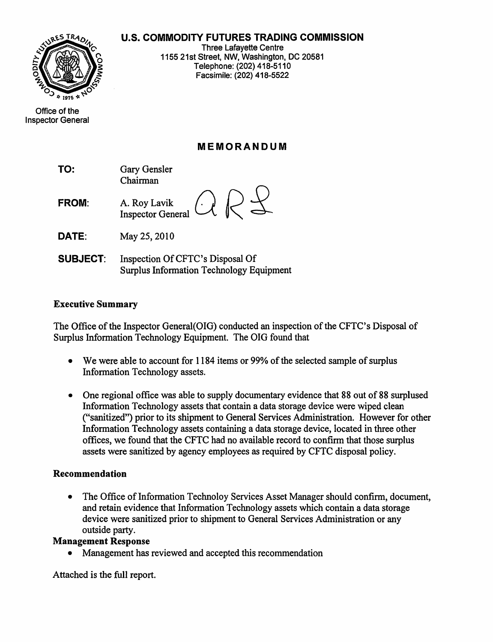# u.s. **COMMODITY FUTURES TRADING COMMISSION**



Inspector General

Office of the

Three Lafayette Centre 1155 21st Street, NW, Washington, DC 20581 Telephone: (202) 418-5110 Facsirnile: (202) 418-5522

# **MEMORANDUM**

- TO: Gary Gensler Chairman
- FROM: A. Roy Lavik  $\bigcirc$   $\bigcirc$   $\bigcirc$ Inspector General
- **DATE:** May 25, 2010
- **SUBJECT:** Inspection Of CFTC's Disposal Of Surplus Information Technology Equipment

### Executive Summary

The Office of the Inspector General (OIG) conducted an inspection of the CFTC's Disposal of Surplus Information Technology Equipment. The OIG found that

- We were able to account for  $1184$  items or 99% of the selected sample of surplus Information Technology assets.
- One regional office was able to supply documentary evidence that 88 out of 88 surplused Information Technology assets that contain a data storage device were wiped clean ("sanitized") prior to its shipment to General Services Administration. However for other Information Technology assets containing a data storage device, located in three other offices, we found that the CFTC had no available record to confirm that those surplus assets were sanitized by agency employees as required by CFTC disposal policy.

#### Recommendation

• The Office of Information Technoloy Services Asset Manager should confirm, document, and retain evidence that Information Technology assets which contain a data storage device were sanitized prior to shipment to General Services Administration or any outside party.

#### Management Response

• Management has reviewed and accepted this recommendation

Attached is the full report.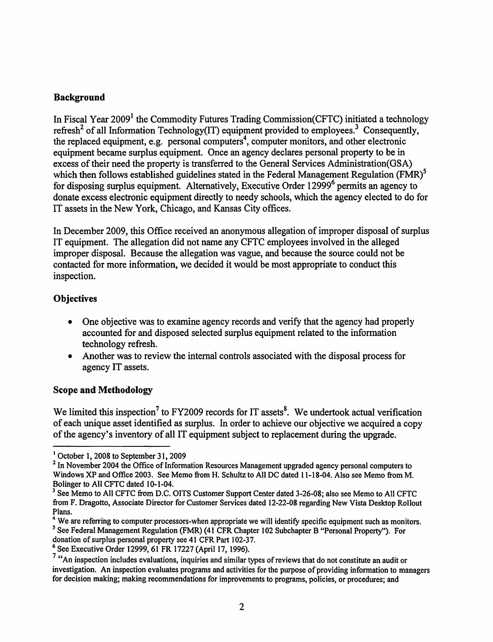### Background

In Fiscal Year  $2009<sup>1</sup>$  the Commodity Futures Trading Commission(CFTC) initiated a technology refresh<sup>2</sup> of all Information Technology(IT) equipment provided to employees.<sup>3</sup> Consequently, the replaced equipment, e.g. personal computers<sup>4</sup>, computer monitors, and other electronic equipment became surplus equipment. Once an agency declares personal property to be in excess of their need the property is transferred to the General Services Administration(GSA) which then follows established guidelines stated in the Federal Management Regulation  $(FMR)^5$ for disposing surplus equipment. Alternatively, Executive Order 12999<sup>6</sup> permits an agency to donate excess electronic equipment directly to needy schools, which the agency elected to do for IT assets in the New York, Chicago, and Kansas City offices.

In December 2009, this Office received an anonymous allegation of improper disposal of surplus IT equipment. The allegation did not name any CFTC employees involved in the alleged improper disposal. Because the allegation was vague, and because the source could not be contacted for more information, we decided it would be most appropriate to conduct this inspection.

## **Objectives**

- One objective was to examine agency records and verify that the agency had properly accounted for and disposed selected surplus equipment related to the information technology refresh.
- Another was to review the internal controls associated with the disposal process for agency IT assets.

## Scope and Methodology

We limited this inspection<sup>7</sup> to FY2009 records for IT assets<sup>8</sup>. We undertook actual verification of each unique asset identified as surplus. In order to achieve our objective we acquired a copy of the agency's inventory of all IT equipment subject to replacement during the upgrade.

<sup>1</sup> October 1, 2008 to September 31, 2009

 $<sup>2</sup>$  In November 2004 the Office of Information Resources Management upgraded agency personal computers to</sup> Windows XP and Office 2003. See Memo from H. Schultz to All DC dated 11-18-04. Also see Memo from M. Bolinger to All CFTC dated 10-1-04.

<sup>&</sup>lt;sup>3</sup> See Memo to All CFTC from D.C. OITS Customer Support Center dated 3-26-08; also see Memo to All CFTC from F. Dragotto, Associate Director for Customer Services dated 12-22-08 regarding New Vista Desktop Rollout Plans.

<sup>&</sup>lt;sup>4</sup> We are referring to computer processors-when appropriate we will identify specific equipment such as monitors. *<sup>S</sup>* See Federal Management Regulation (FMR) (41 CFR Chapter 102 Subchapter B "Personal Property"). For donation of surplus personal property see 41 CFR Part 102-37.

<sup>6</sup> See Executive Order 12999,61 FR 17227 (April 17, 1996).

<sup>&</sup>lt;sup>7</sup> "An inspection includes evaluations, inquiries and similar types of reviews that do not constitute an audit or investigation. An inspection evaluates programs and activities for the purpose of providing information to managers for decision making; making recommendations for improvements to programs, policies, or procedures; and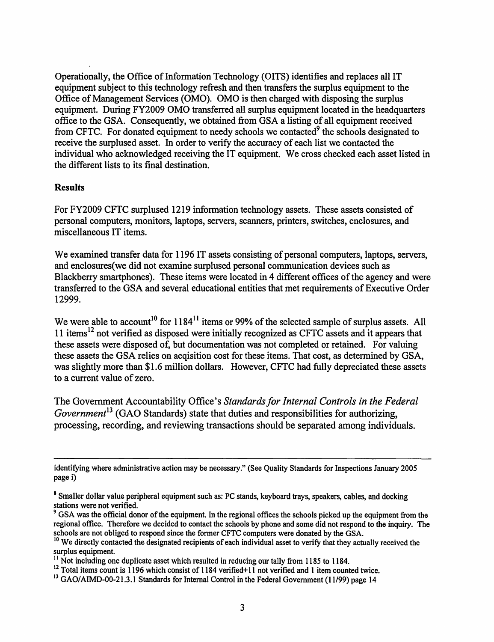Operationally, the Office of Information Technology (OITS) identifies and replaces all IT equipment subject to this technology refresh and then transfers the surplus equipment to the Office of Management Services (OMO). OMO is then charged with disposing the surplus equipment. During FY2009 OMO transferred all surplus equipment located in the headquarters office to the GSA. Consequently, we obtained from GSA a listing of all equipment received from CFTC. For donated equipment to needy schools we contacted<sup>9</sup> the schools designated to receive the surplused asset. In order to verify the accuracy of each list we contacted the individual who acknowledged receiving the IT equipment. We cross checked each asset listed in the different lists to its final destination.

#### Results

For FY2009 CFTC surplused 1219 information technology assets. These assets consisted of personal computers, monitors, laptops, servers, scanners, printers, switches, enclosures, and miscellaneous IT items.

We examined transfer data for 1196 IT assets consisting of personal computers, laptops, servers, and enclosures(we did not examine surplused personal communication devices such as Blackberry smartphones). These items were located in 4 different offices of the agency and were transferred to the GSA and several educational entities that met requirements of Executive Order 12999.

We were able to account<sup>10</sup> for  $1184^{11}$  items or 99% of the selected sample of surplus assets. All 11 items<sup>12</sup> not verified as disposed were initially recognized as CFTC assets and it appears that these assets were disposed of, but documentation was not completed or retained. For valuing these assets the GSA relies on acqisition cost for these items. That cost, as determined by GSA, was slightly more than \$1.6 million dollars. However, CFTC had fully depreciated these assets to a current value of zero.

The Government Accountability Office's *Standards/or Internal Controls in the Federal Government*<sup>13</sup> (GAO Standards) state that duties and responsibilities for authorizing, processing, recording, and reviewing transactions should be separated among individuals.

identifying where administrative action may be necessary." (See Quality Standards for Inspections January 2005 page i)

<sup>&</sup>lt;sup>8</sup> Smaller dollar value peripheral equipment such as: PC stands, keyboard trays, speakers, cables, and docking stations were not verified.

<sup>&</sup>lt;sup>9</sup> GSA was the official donor of the equipment. In the regional offices the schools picked up the equipment from the regional office. Therefore we decided to contact the schools by phone and some did not respond to the inquiry. The schools are not obliged to respond since the former CFTC computers were donated by the GSA.

<sup>&</sup>lt;sup>10</sup> We directly contacted the designated recipients of each individual asset to verify that they actually received the surplus equipment.

 $11$  Not including one duplicate asset which resulted in reducing our tally from 1185 to 1184.

<sup>12</sup> Total items count is 1196 which consist of 1184 verified+11 not verified and 1 item counted twice.

<sup>&</sup>lt;sup>13</sup> GAO/AIMD-00-21.3.1 Standards for Internal Control in the Federal Government (11/99) page 14